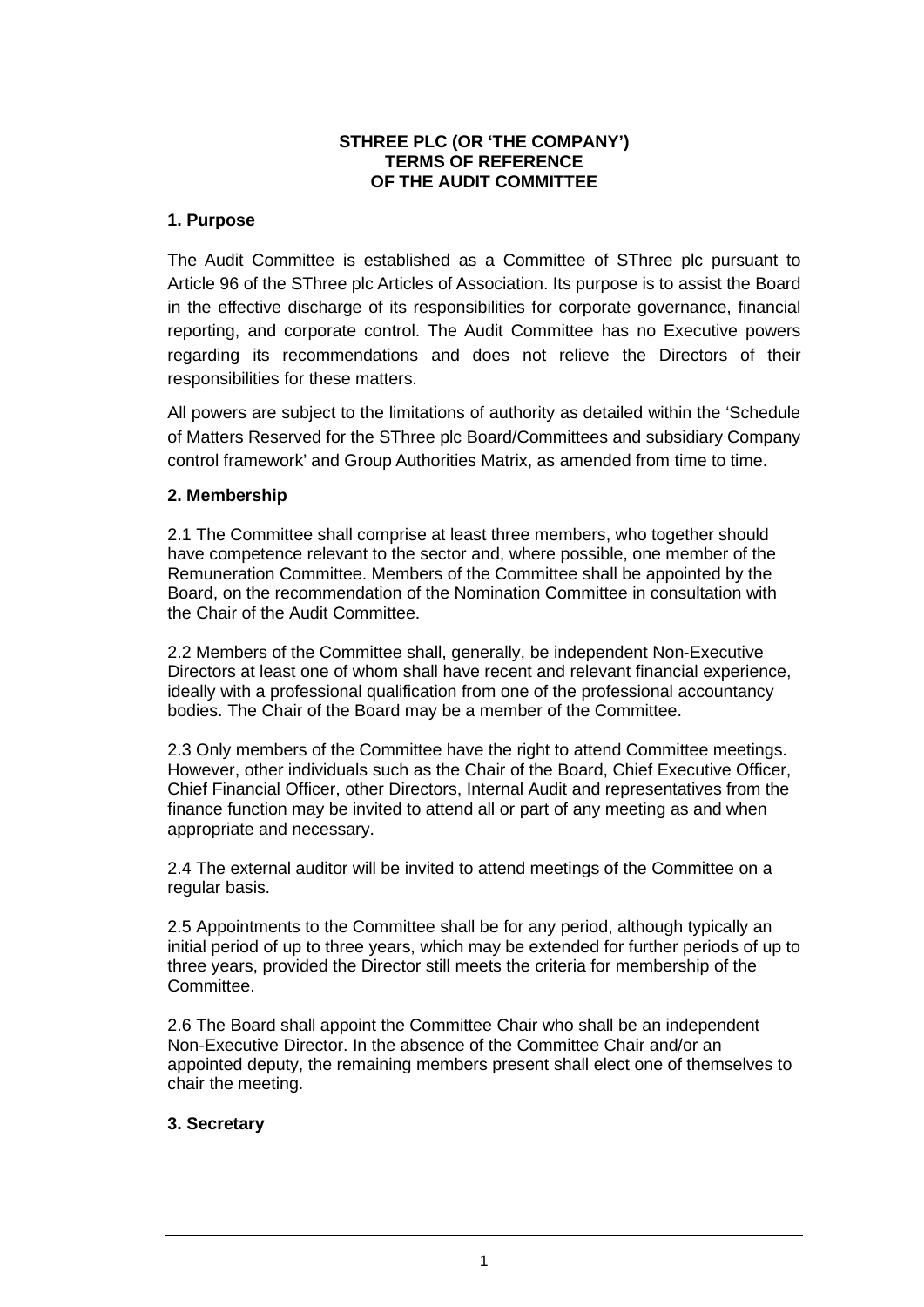# **STHREE PLC (OR 'THE COMPANY') TERMS OF REFERENCE OF THE AUDIT COMMITTEE**

# **1. Purpose**

The Audit Committee is established as a Committee of SThree plc pursuant to Article 96 of the SThree plc Articles of Association. Its purpose is to assist the Board in the effective discharge of its responsibilities for corporate governance, financial reporting, and corporate control. The Audit Committee has no Executive powers regarding its recommendations and does not relieve the Directors of their responsibilities for these matters.

All powers are subject to the limitations of authority as detailed within the 'Schedule of Matters Reserved for the SThree plc Board/Committees and subsidiary Company control framework' and Group Authorities Matrix, as amended from time to time.

# **2. Membership**

2.1 The Committee shall comprise at least three members, who together should have competence relevant to the sector and, where possible, one member of the Remuneration Committee. Members of the Committee shall be appointed by the Board, on the recommendation of the Nomination Committee in consultation with the Chair of the Audit Committee.

2.2 Members of the Committee shall, generally, be independent Non-Executive Directors at least one of whom shall have recent and relevant financial experience, ideally with a professional qualification from one of the professional accountancy bodies. The Chair of the Board may be a member of the Committee.

2.3 Only members of the Committee have the right to attend Committee meetings. However, other individuals such as the Chair of the Board, Chief Executive Officer, Chief Financial Officer, other Directors, Internal Audit and representatives from the finance function may be invited to attend all or part of any meeting as and when appropriate and necessary.

2.4 The external auditor will be invited to attend meetings of the Committee on a regular basis.

2.5 Appointments to the Committee shall be for any period, although typically an initial period of up to three years, which may be extended for further periods of up to three years, provided the Director still meets the criteria for membership of the Committee.

2.6 The Board shall appoint the Committee Chair who shall be an independent Non-Executive Director. In the absence of the Committee Chair and/or an appointed deputy, the remaining members present shall elect one of themselves to chair the meeting.

### **3. Secretary**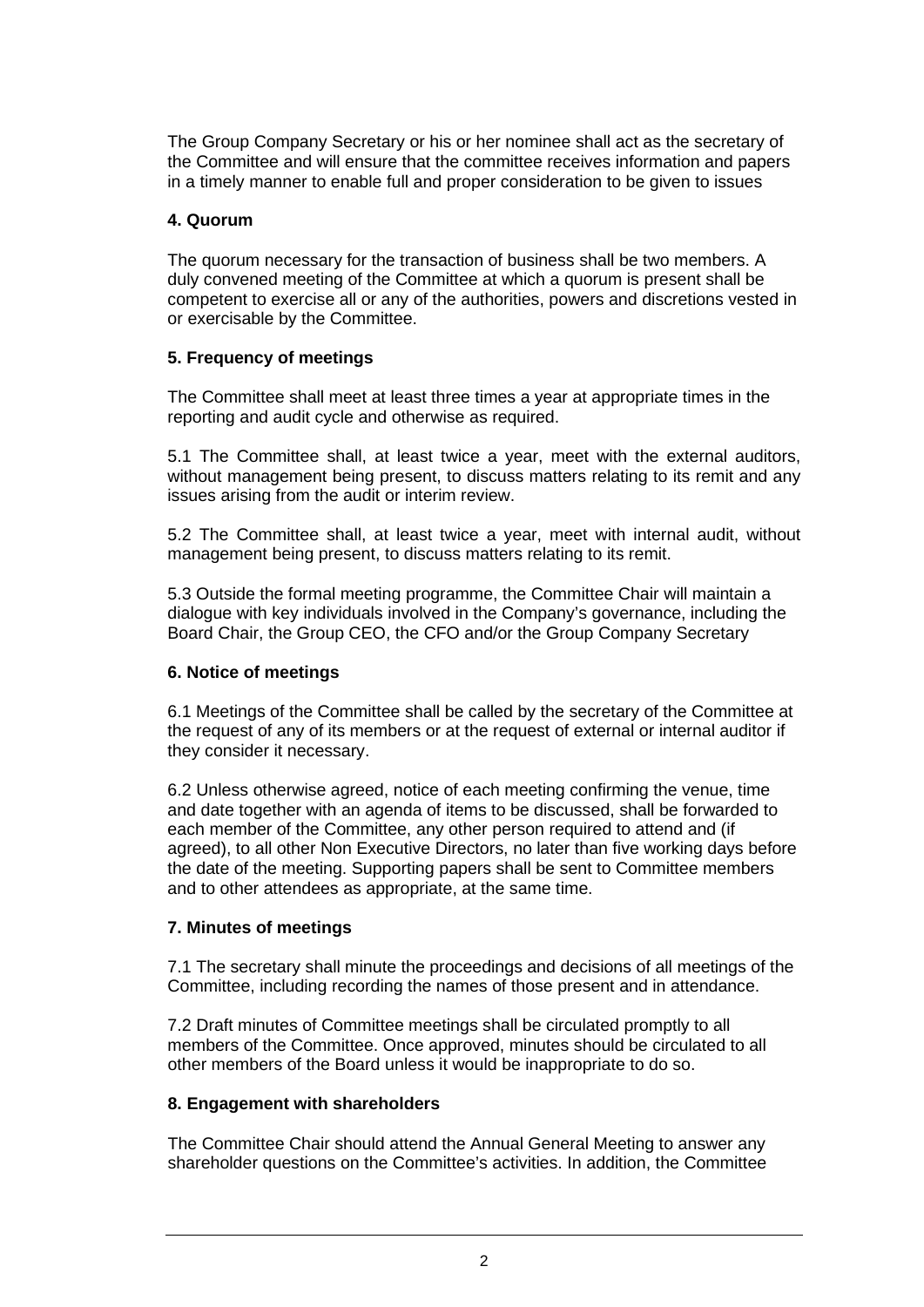The Group Company Secretary or his or her nominee shall act as the secretary of the Committee and will ensure that the committee receives information and papers in a timely manner to enable full and proper consideration to be given to issues

# **4. Quorum**

The quorum necessary for the transaction of business shall be two members. A duly convened meeting of the Committee at which a quorum is present shall be competent to exercise all or any of the authorities, powers and discretions vested in or exercisable by the Committee.

# **5. Frequency of meetings**

The Committee shall meet at least three times a year at appropriate times in the reporting and audit cycle and otherwise as required.

5.1 The Committee shall, at least twice a year, meet with the external auditors, without management being present, to discuss matters relating to its remit and any issues arising from the audit or interim review.

5.2 The Committee shall, at least twice a year, meet with internal audit, without management being present, to discuss matters relating to its remit.

5.3 Outside the formal meeting programme, the Committee Chair will maintain a dialogue with key individuals involved in the Company's governance, including the Board Chair, the Group CEO, the CFO and/or the Group Company Secretary

### **6. Notice of meetings**

6.1 Meetings of the Committee shall be called by the secretary of the Committee at the request of any of its members or at the request of external or internal auditor if they consider it necessary.

6.2 Unless otherwise agreed, notice of each meeting confirming the venue, time and date together with an agenda of items to be discussed, shall be forwarded to each member of the Committee, any other person required to attend and (if agreed), to all other Non Executive Directors, no later than five working days before the date of the meeting. Supporting papers shall be sent to Committee members and to other attendees as appropriate, at the same time.

### **7. Minutes of meetings**

7.1 The secretary shall minute the proceedings and decisions of all meetings of the Committee, including recording the names of those present and in attendance.

7.2 Draft minutes of Committee meetings shall be circulated promptly to all members of the Committee. Once approved, minutes should be circulated to all other members of the Board unless it would be inappropriate to do so.

### **8. Engagement with shareholders**

The Committee Chair should attend the Annual General Meeting to answer any shareholder questions on the Committee's activities. In addition, the Committee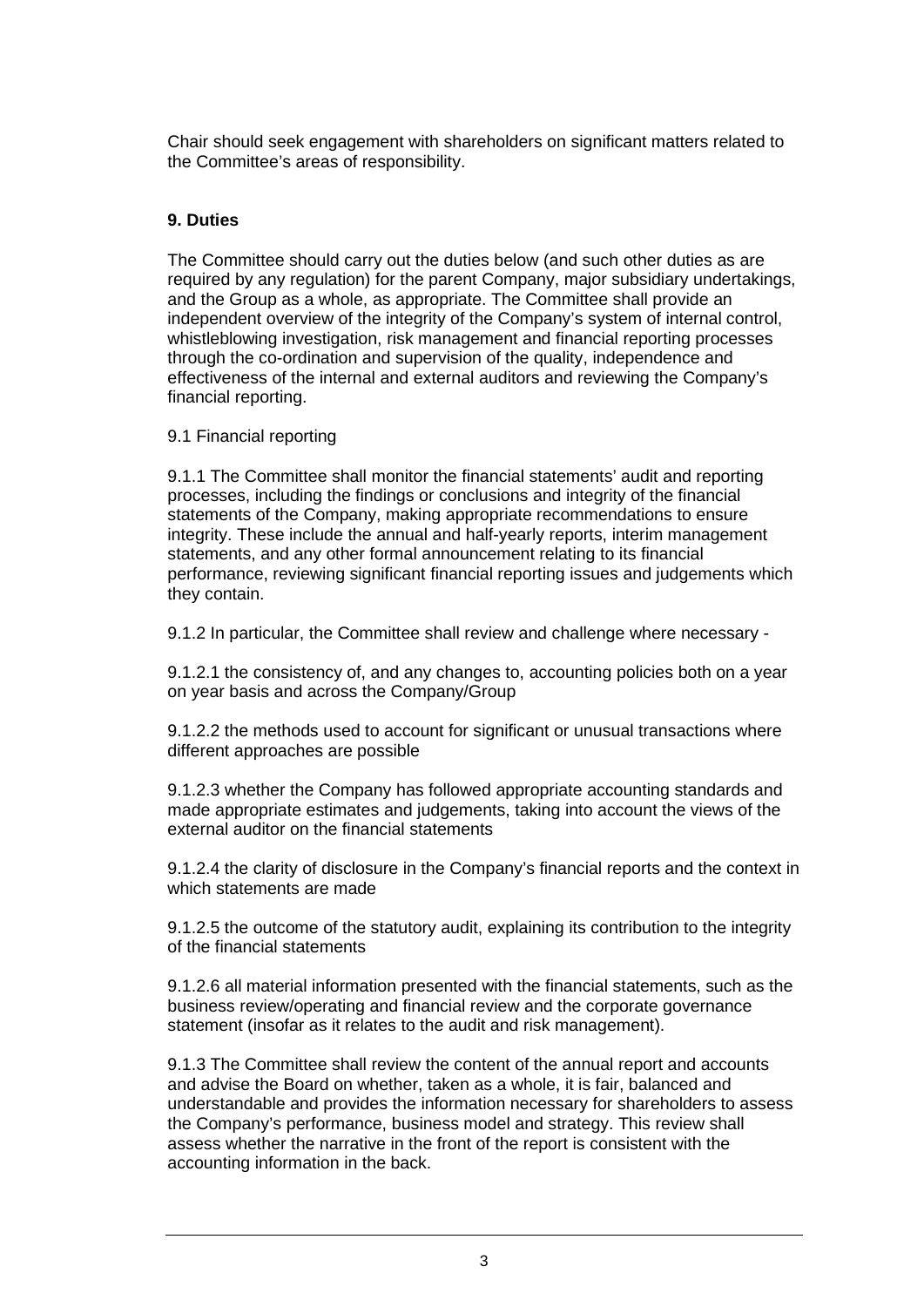Chair should seek engagement with shareholders on significant matters related to the Committee's areas of responsibility.

# **9. Duties**

The Committee should carry out the duties below (and such other duties as are required by any regulation) for the parent Company, major subsidiary undertakings, and the Group as a whole, as appropriate. The Committee shall provide an independent overview of the integrity of the Company's system of internal control, whistleblowing investigation, risk management and financial reporting processes through the co-ordination and supervision of the quality, independence and effectiveness of the internal and external auditors and reviewing the Company's financial reporting.

9.1 Financial reporting

9.1.1 The Committee shall monitor the financial statements' audit and reporting processes, including the findings or conclusions and integrity of the financial statements of the Company, making appropriate recommendations to ensure integrity. These include the annual and half-yearly reports, interim management statements, and any other formal announcement relating to its financial performance, reviewing significant financial reporting issues and judgements which they contain.

9.1.2 In particular, the Committee shall review and challenge where necessary -

9.1.2.1 the consistency of, and any changes to, accounting policies both on a year on year basis and across the Company/Group

9.1.2.2 the methods used to account for significant or unusual transactions where different approaches are possible

9.1.2.3 whether the Company has followed appropriate accounting standards and made appropriate estimates and judgements, taking into account the views of the external auditor on the financial statements

9.1.2.4 the clarity of disclosure in the Company's financial reports and the context in which statements are made

9.1.2.5 the outcome of the statutory audit, explaining its contribution to the integrity of the financial statements

9.1.2.6 all material information presented with the financial statements, such as the business review/operating and financial review and the corporate governance statement (insofar as it relates to the audit and risk management).

9.1.3 The Committee shall review the content of the annual report and accounts and advise the Board on whether, taken as a whole, it is fair, balanced and understandable and provides the information necessary for shareholders to assess the Company's performance, business model and strategy. This review shall assess whether the narrative in the front of the report is consistent with the accounting information in the back.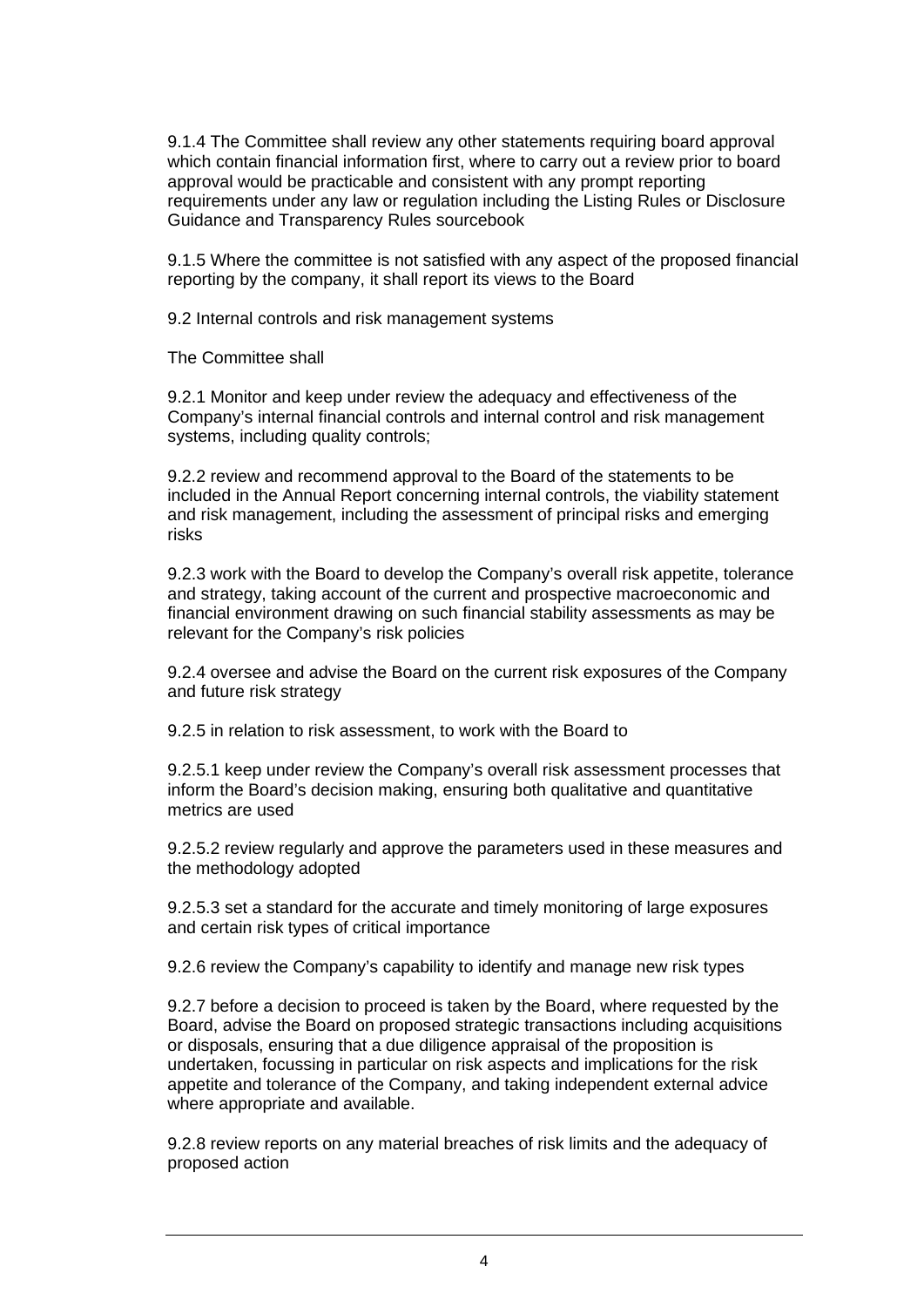9.1.4 The Committee shall review any other statements requiring board approval which contain financial information first, where to carry out a review prior to board approval would be practicable and consistent with any prompt reporting requirements under any law or regulation including the Listing Rules or Disclosure Guidance and Transparency Rules sourcebook

9.1.5 Where the committee is not satisfied with any aspect of the proposed financial reporting by the company, it shall report its views to the Board

9.2 Internal controls and risk management systems

The Committee shall

9.2.1 Monitor and keep under review the adequacy and effectiveness of the Company's internal financial controls and internal control and risk management systems, including quality controls;

9.2.2 review and recommend approval to the Board of the statements to be included in the Annual Report concerning internal controls, the viability statement and risk management, including the assessment of principal risks and emerging risks

9.2.3 work with the Board to develop the Company's overall risk appetite, tolerance and strategy, taking account of the current and prospective macroeconomic and financial environment drawing on such financial stability assessments as may be relevant for the Company's risk policies

9.2.4 oversee and advise the Board on the current risk exposures of the Company and future risk strategy

9.2.5 in relation to risk assessment, to work with the Board to

9.2.5.1 keep under review the Company's overall risk assessment processes that inform the Board's decision making, ensuring both qualitative and quantitative metrics are used

9.2.5.2 review regularly and approve the parameters used in these measures and the methodology adopted

9.2.5.3 set a standard for the accurate and timely monitoring of large exposures and certain risk types of critical importance

9.2.6 review the Company's capability to identify and manage new risk types

9.2.7 before a decision to proceed is taken by the Board, where requested by the Board, advise the Board on proposed strategic transactions including acquisitions or disposals, ensuring that a due diligence appraisal of the proposition is undertaken, focussing in particular on risk aspects and implications for the risk appetite and tolerance of the Company, and taking independent external advice where appropriate and available.

9.2.8 review reports on any material breaches of risk limits and the adequacy of proposed action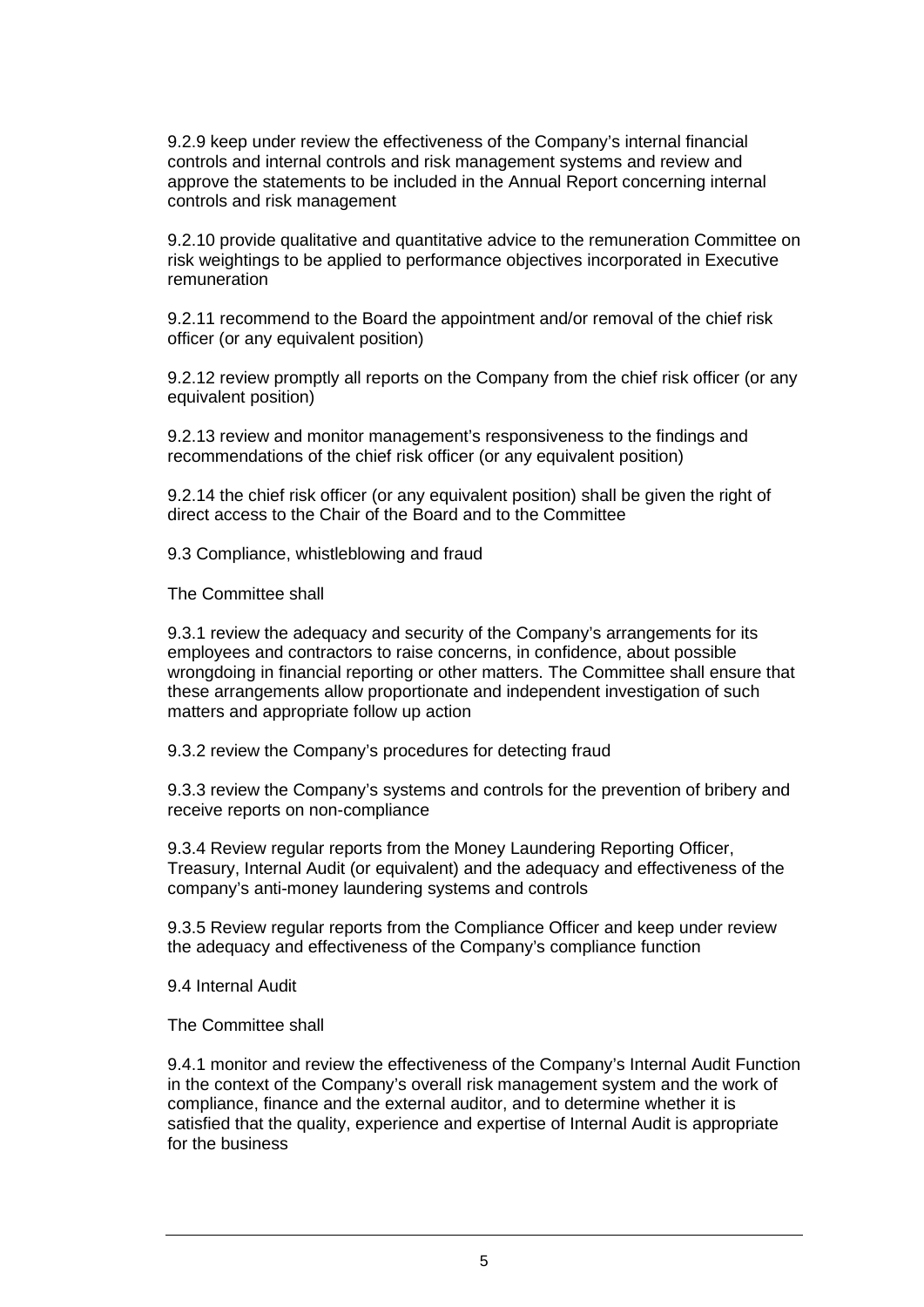9.2.9 keep under review the effectiveness of the Company's internal financial controls and internal controls and risk management systems and review and approve the statements to be included in the Annual Report concerning internal controls and risk management

9.2.10 provide qualitative and quantitative advice to the remuneration Committee on risk weightings to be applied to performance objectives incorporated in Executive remuneration

9.2.11 recommend to the Board the appointment and/or removal of the chief risk officer (or any equivalent position)

9.2.12 review promptly all reports on the Company from the chief risk officer (or any equivalent position)

9.2.13 review and monitor management's responsiveness to the findings and recommendations of the chief risk officer (or any equivalent position)

9.2.14 the chief risk officer (or any equivalent position) shall be given the right of direct access to the Chair of the Board and to the Committee

9.3 Compliance, whistleblowing and fraud

The Committee shall

9.3.1 review the adequacy and security of the Company's arrangements for its employees and contractors to raise concerns, in confidence, about possible wrongdoing in financial reporting or other matters. The Committee shall ensure that these arrangements allow proportionate and independent investigation of such matters and appropriate follow up action

9.3.2 review the Company's procedures for detecting fraud

9.3.3 review the Company's systems and controls for the prevention of bribery and receive reports on non-compliance

9.3.4 Review regular reports from the Money Laundering Reporting Officer, Treasury, Internal Audit (or equivalent) and the adequacy and effectiveness of the company's anti-money laundering systems and controls

9.3.5 Review regular reports from the Compliance Officer and keep under review the adequacy and effectiveness of the Company's compliance function

9.4 Internal Audit

The Committee shall

9.4.1 monitor and review the effectiveness of the Company's Internal Audit Function in the context of the Company's overall risk management system and the work of compliance, finance and the external auditor, and to determine whether it is satisfied that the quality, experience and expertise of Internal Audit is appropriate for the business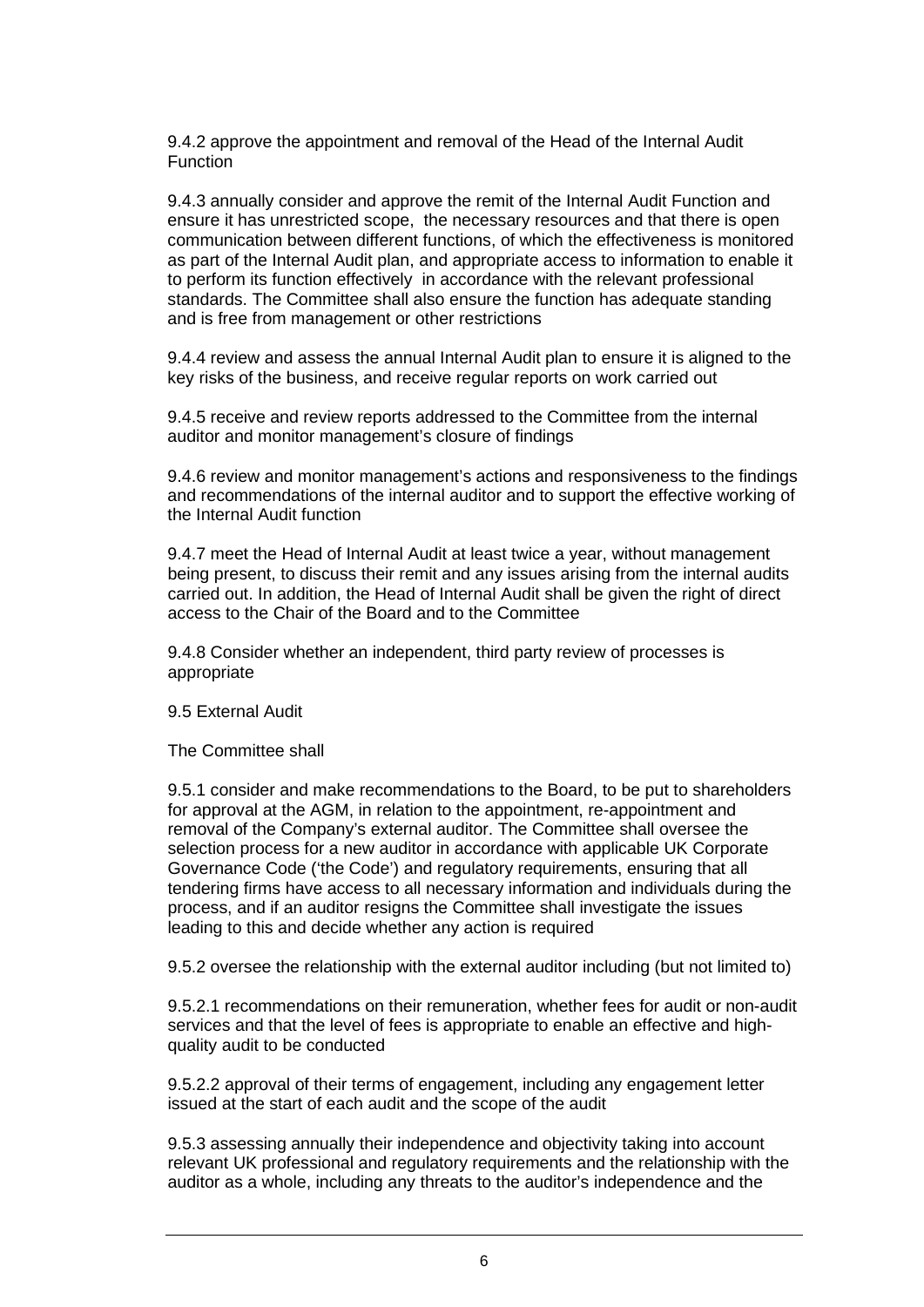9.4.2 approve the appointment and removal of the Head of the Internal Audit Function

9.4.3 annually consider and approve the remit of the Internal Audit Function and ensure it has unrestricted scope, the necessary resources and that there is open communication between different functions, of which the effectiveness is monitored as part of the Internal Audit plan, and appropriate access to information to enable it to perform its function effectively in accordance with the relevant professional standards. The Committee shall also ensure the function has adequate standing and is free from management or other restrictions

9.4.4 review and assess the annual Internal Audit plan to ensure it is aligned to the key risks of the business, and receive regular reports on work carried out

9.4.5 receive and review reports addressed to the Committee from the internal auditor and monitor management's closure of findings

9.4.6 review and monitor management's actions and responsiveness to the findings and recommendations of the internal auditor and to support the effective working of the Internal Audit function

9.4.7 meet the Head of Internal Audit at least twice a year, without management being present, to discuss their remit and any issues arising from the internal audits carried out. In addition, the Head of Internal Audit shall be given the right of direct access to the Chair of the Board and to the Committee

9.4.8 Consider whether an independent, third party review of processes is appropriate

9.5 External Audit

The Committee shall

9.5.1 consider and make recommendations to the Board, to be put to shareholders for approval at the AGM, in relation to the appointment, re-appointment and removal of the Company's external auditor. The Committee shall oversee the selection process for a new auditor in accordance with applicable UK Corporate Governance Code ('the Code') and regulatory requirements, ensuring that all tendering firms have access to all necessary information and individuals during the process, and if an auditor resigns the Committee shall investigate the issues leading to this and decide whether any action is required

9.5.2 oversee the relationship with the external auditor including (but not limited to)

9.5.2.1 recommendations on their remuneration, whether fees for audit or non-audit services and that the level of fees is appropriate to enable an effective and highquality audit to be conducted

9.5.2.2 approval of their terms of engagement, including any engagement letter issued at the start of each audit and the scope of the audit

9.5.3 assessing annually their independence and objectivity taking into account relevant UK professional and regulatory requirements and the relationship with the auditor as a whole, including any threats to the auditor's independence and the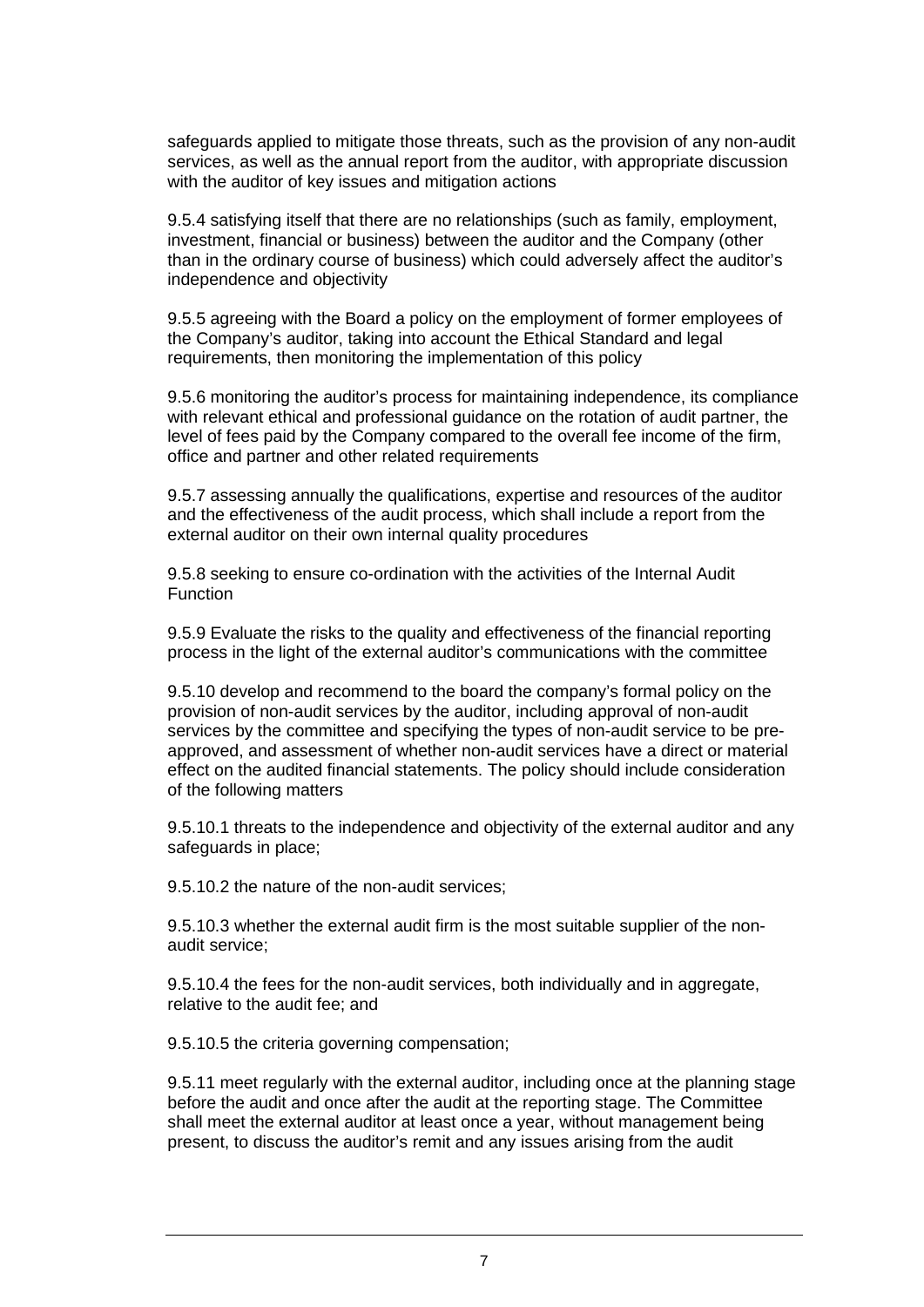safeguards applied to mitigate those threats, such as the provision of any non-audit services, as well as the annual report from the auditor, with appropriate discussion with the auditor of key issues and mitigation actions

9.5.4 satisfying itself that there are no relationships (such as family, employment, investment, financial or business) between the auditor and the Company (other than in the ordinary course of business) which could adversely affect the auditor's independence and objectivity

9.5.5 agreeing with the Board a policy on the employment of former employees of the Company's auditor, taking into account the Ethical Standard and legal requirements, then monitoring the implementation of this policy

9.5.6 monitoring the auditor's process for maintaining independence, its compliance with relevant ethical and professional guidance on the rotation of audit partner, the level of fees paid by the Company compared to the overall fee income of the firm, office and partner and other related requirements

9.5.7 assessing annually the qualifications, expertise and resources of the auditor and the effectiveness of the audit process, which shall include a report from the external auditor on their own internal quality procedures

9.5.8 seeking to ensure co-ordination with the activities of the Internal Audit Function

9.5.9 Evaluate the risks to the quality and effectiveness of the financial reporting process in the light of the external auditor's communications with the committee

9.5.10 develop and recommend to the board the company's formal policy on the provision of non-audit services by the auditor, including approval of non-audit services by the committee and specifying the types of non-audit service to be preapproved, and assessment of whether non-audit services have a direct or material effect on the audited financial statements. The policy should include consideration of the following matters

9.5.10.1 threats to the independence and objectivity of the external auditor and any safeguards in place;

9.5.10.2 the nature of the non-audit services;

9.5.10.3 whether the external audit firm is the most suitable supplier of the nonaudit service;

9.5.10.4 the fees for the non-audit services, both individually and in aggregate, relative to the audit fee; and

9.5.10.5 the criteria governing compensation;

9.5.11 meet regularly with the external auditor, including once at the planning stage before the audit and once after the audit at the reporting stage. The Committee shall meet the external auditor at least once a year, without management being present, to discuss the auditor's remit and any issues arising from the audit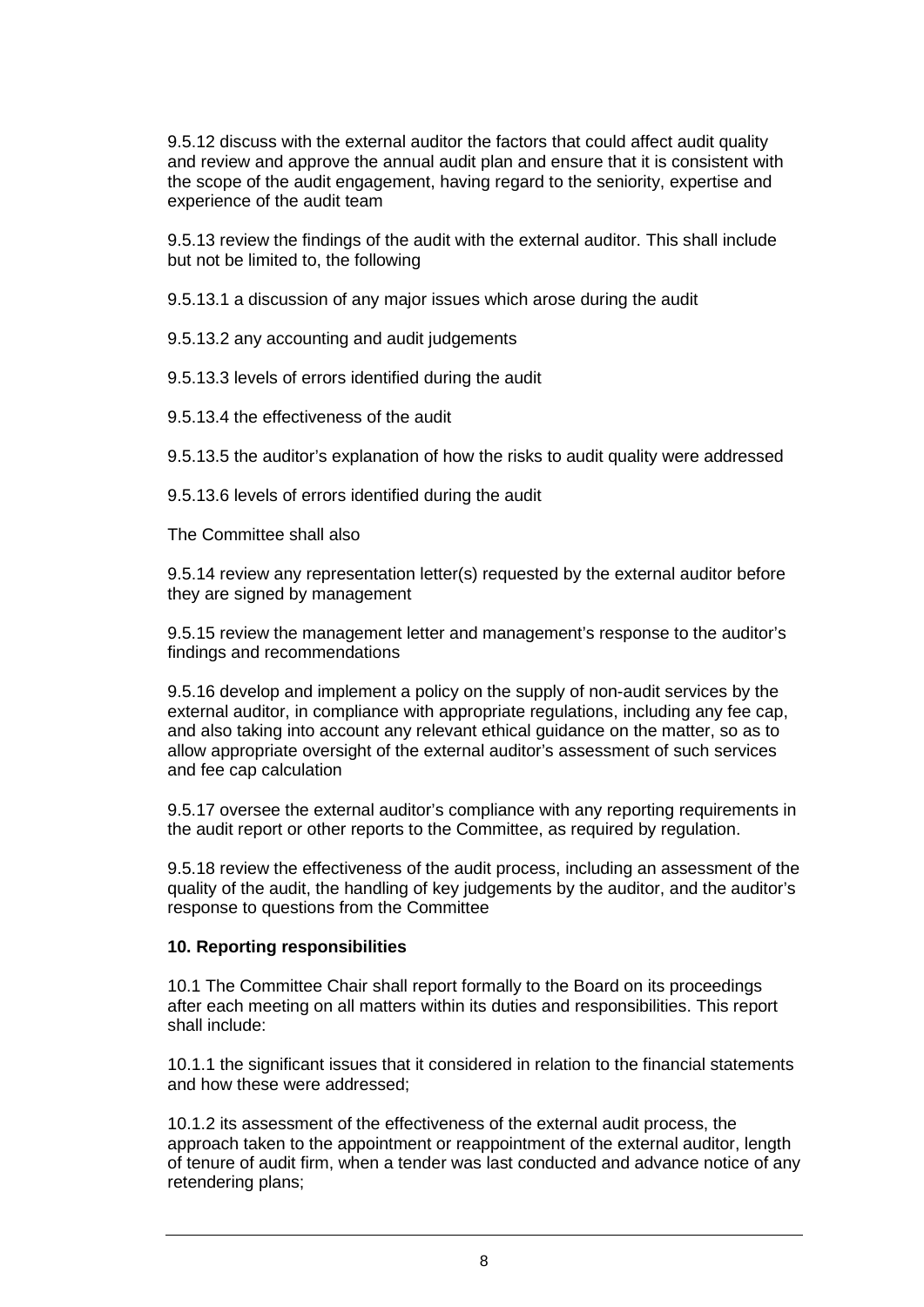9.5.12 discuss with the external auditor the factors that could affect audit quality and review and approve the annual audit plan and ensure that it is consistent with the scope of the audit engagement, having regard to the seniority, expertise and experience of the audit team

9.5.13 review the findings of the audit with the external auditor. This shall include but not be limited to, the following

9.5.13.1 a discussion of any major issues which arose during the audit

9.5.13.2 any accounting and audit judgements

9.5.13.3 levels of errors identified during the audit

9.5.13.4 the effectiveness of the audit

9.5.13.5 the auditor's explanation of how the risks to audit quality were addressed

9.5.13.6 levels of errors identified during the audit

The Committee shall also

9.5.14 review any representation letter(s) requested by the external auditor before they are signed by management

9.5.15 review the management letter and management's response to the auditor's findings and recommendations

9.5.16 develop and implement a policy on the supply of non-audit services by the external auditor, in compliance with appropriate regulations, including any fee cap, and also taking into account any relevant ethical guidance on the matter, so as to allow appropriate oversight of the external auditor's assessment of such services and fee cap calculation

9.5.17 oversee the external auditor's compliance with any reporting requirements in the audit report or other reports to the Committee, as required by regulation.

9.5.18 review the effectiveness of the audit process, including an assessment of the quality of the audit, the handling of key judgements by the auditor, and the auditor's response to questions from the Committee

#### **10. Reporting responsibilities**

10.1 The Committee Chair shall report formally to the Board on its proceedings after each meeting on all matters within its duties and responsibilities. This report shall include:

10.1.1 the significant issues that it considered in relation to the financial statements and how these were addressed;

10.1.2 its assessment of the effectiveness of the external audit process, the approach taken to the appointment or reappointment of the external auditor, length of tenure of audit firm, when a tender was last conducted and advance notice of any retendering plans;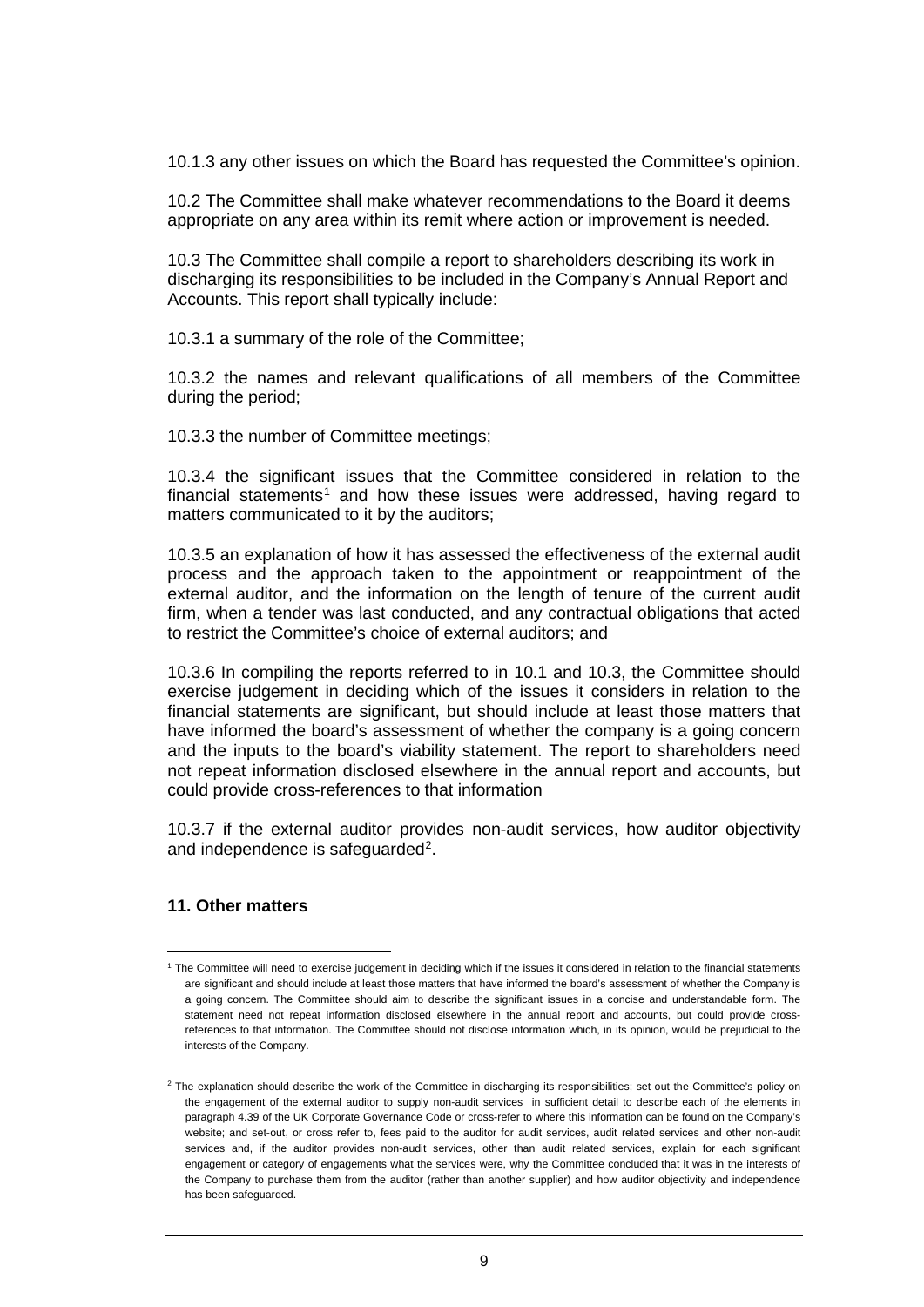10.1.3 any other issues on which the Board has requested the Committee's opinion.

10.2 The Committee shall make whatever recommendations to the Board it deems appropriate on any area within its remit where action or improvement is needed.

10.3 The Committee shall compile a report to shareholders describing its work in discharging its responsibilities to be included in the Company's Annual Report and Accounts. This report shall typically include:

10.3.1 a summary of the role of the Committee;

10.3.2 the names and relevant qualifications of all members of the Committee during the period;

10.3.3 the number of Committee meetings;

10.3.4 the significant issues that the Committee considered in relation to the financial statements<sup>[1](#page-8-0)</sup> and how these issues were addressed, having regard to matters communicated to it by the auditors;

10.3.5 an explanation of how it has assessed the effectiveness of the external audit process and the approach taken to the appointment or reappointment of the external auditor, and the information on the length of tenure of the current audit firm, when a tender was last conducted, and any contractual obligations that acted to restrict the Committee's choice of external auditors; and

10.3.6 In compiling the reports referred to in 10.1 and 10.3, the Committee should exercise judgement in deciding which of the issues it considers in relation to the financial statements are significant, but should include at least those matters that have informed the board's assessment of whether the company is a going concern and the inputs to the board's viability statement. The report to shareholders need not repeat information disclosed elsewhere in the annual report and accounts, but could provide cross-references to that information

10.3.7 if the external auditor provides non-audit services, how auditor objectivity and independence is safeguarded<sup>[2](#page-8-1)</sup>.

### **11. Other matters**

<span id="page-8-0"></span><sup>&</sup>lt;sup>1</sup> The Committee will need to exercise judgement in deciding which if the issues it considered in relation to the financial statements are significant and should include at least those matters that have informed the board's assessment of whether the Company is a going concern. The Committee should aim to describe the significant issues in a concise and understandable form. The statement need not repeat information disclosed elsewhere in the annual report and accounts, but could provide crossreferences to that information. The Committee should not disclose information which, in its opinion, would be prejudicial to the interests of the Company.

<span id="page-8-1"></span><sup>&</sup>lt;sup>2</sup> The explanation should describe the work of the Committee in discharging its responsibilities; set out the Committee's policy on the engagement of the external auditor to supply non-audit services in sufficient detail to describe each of the elements in paragraph 4.39 of the UK Corporate Governance Code or cross-refer to where this information can be found on the Company's website; and set-out, or cross refer to, fees paid to the auditor for audit services, audit related services and other non-audit services and, if the auditor provides non-audit services, other than audit related services, explain for each significant engagement or category of engagements what the services were, why the Committee concluded that it was in the interests of the Company to purchase them from the auditor (rather than another supplier) and how auditor objectivity and independence has been safeguarded.